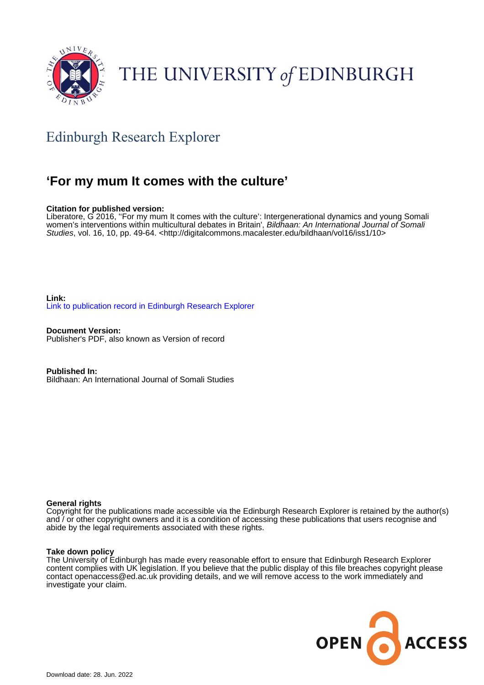

# THE UNIVERSITY of EDINBURGH

# Edinburgh Research Explorer

## **'For my mum It comes with the culture'**

#### **Citation for published version:**

Liberatore, G 2016, ''For my mum It comes with the culture': Intergenerational dynamics and young Somali women's interventions within multicultural debates in Britain', Bildhaan: An International Journal of Somali Studies, vol. 16, 10, pp. 49-64. [<http://digitalcommons.macalester.edu/bildhaan/vol16/iss1/10>](http://digitalcommons.macalester.edu/bildhaan/vol16/iss1/10)

**Link:** [Link to publication record in Edinburgh Research Explorer](https://www.research.ed.ac.uk/en/publications/60cc8d23-3fb9-4b3f-820b-2592b1f6f293)

**Document Version:** Publisher's PDF, also known as Version of record

**Published In:** Bildhaan: An International Journal of Somali Studies

#### **General rights**

Copyright for the publications made accessible via the Edinburgh Research Explorer is retained by the author(s) and / or other copyright owners and it is a condition of accessing these publications that users recognise and abide by the legal requirements associated with these rights.

#### **Take down policy**

The University of Edinburgh has made every reasonable effort to ensure that Edinburgh Research Explorer content complies with UK legislation. If you believe that the public display of this file breaches copyright please contact openaccess@ed.ac.uk providing details, and we will remove access to the work immediately and investigate your claim.

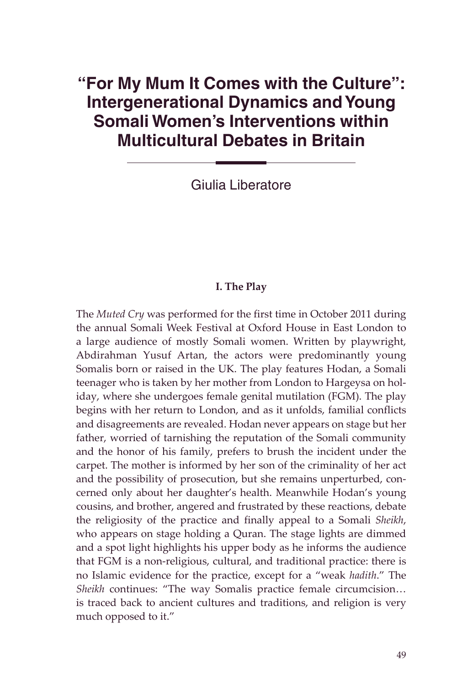### **"For My Mum It Comes with the Culture": Intergenerational Dynamics and Young Somali Women's Interventions within Multicultural Debates in Britain**

Giulia Liberatore

#### **I. The Play**

The *Muted Cry* was performed for the first time in October 2011 during the annual Somali Week Festival at Oxford House in East London to a large audience of mostly Somali women. Written by playwright, Abdirahman Yusuf Artan, the actors were predominantly young Somalis born or raised in the UK. The play features Hodan, a Somali teenager who is taken by her mother from London to Hargeysa on holiday, where she undergoes female genital mutilation (FGM). The play begins with her return to London, and as it unfolds, familial conflicts and disagreements are revealed. Hodan never appears on stage but her father, worried of tarnishing the reputation of the Somali community and the honor of his family, prefers to brush the incident under the carpet. The mother is informed by her son of the criminality of her act and the possibility of prosecution, but she remains unperturbed, concerned only about her daughter's health. Meanwhile Hodan's young cousins, and brother, angered and frustrated by these reactions, debate the religiosity of the practice and finally appeal to a Somali *Sheikh*, who appears on stage holding a Quran. The stage lights are dimmed and a spot light highlights his upper body as he informs the audience that FGM is a non-religious, cultural, and traditional practice: there is no Islamic evidence for the practice, except for a "weak *hadith*." The *Sheikh* continues: "The way Somalis practice female circumcision... is traced back to ancient cultures and traditions, and religion is very much opposed to it."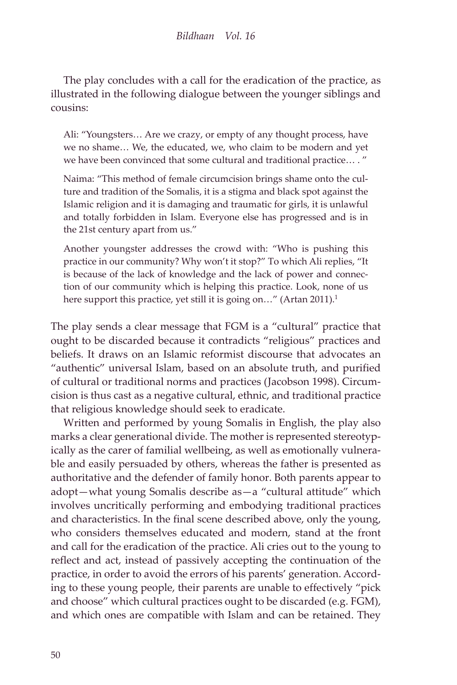The play concludes with a call for the eradication of the practice, as illustrated in the following dialogue between the younger siblings and cousins:

Ali: "Youngsters… Are we crazy, or empty of any thought process, have we no shame… We, the educated, we, who claim to be modern and yet we have been convinced that some cultural and traditional practice… . "

Naima: "This method of female circumcision brings shame onto the culture and tradition of the Somalis, it is a stigma and black spot against the Islamic religion and it is damaging and traumatic for girls, it is unlawful and totally forbidden in Islam. Everyone else has progressed and is in the 21st century apart from us."

Another youngster addresses the crowd with: "Who is pushing this practice in our community? Why won't it stop?" To which Ali replies, "It is because of the lack of knowledge and the lack of power and connection of our community which is helping this practice. Look, none of us here support this practice, yet still it is going on..." (Artan 2011).<sup>1</sup>

The play sends a clear message that FGM is a "cultural" practice that ought to be discarded because it contradicts "religious" practices and beliefs. It draws on an Islamic reformist discourse that advocates an "authentic" universal Islam, based on an absolute truth, and purified of cultural or traditional norms and practices (Jacobson 1998). Circumcision is thus cast as a negative cultural, ethnic, and traditional practice that religious knowledge should seek to eradicate.

Written and performed by young Somalis in English, the play also marks a clear generational divide. The mother is represented stereotypically as the carer of familial wellbeing, as well as emotionally vulnerable and easily persuaded by others, whereas the father is presented as authoritative and the defender of family honor. Both parents appear to adopt—what young Somalis describe as—a "cultural attitude" which involves uncritically performing and embodying traditional practices and characteristics. In the final scene described above, only the young, who considers themselves educated and modern, stand at the front and call for the eradication of the practice. Ali cries out to the young to reflect and act, instead of passively accepting the continuation of the practice, in order to avoid the errors of his parents' generation. According to these young people, their parents are unable to effectively "pick and choose" which cultural practices ought to be discarded (e.g. FGM), and which ones are compatible with Islam and can be retained. They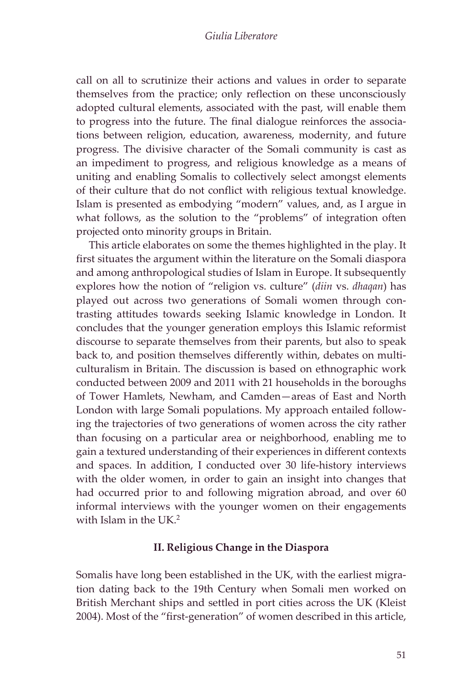call on all to scrutinize their actions and values in order to separate themselves from the practice; only reflection on these unconsciously adopted cultural elements, associated with the past, will enable them to progress into the future. The final dialogue reinforces the associations between religion, education, awareness, modernity, and future progress. The divisive character of the Somali community is cast as an impediment to progress, and religious knowledge as a means of uniting and enabling Somalis to collectively select amongst elements of their culture that do not conflict with religious textual knowledge. Islam is presented as embodying "modern" values, and, as I argue in what follows, as the solution to the "problems" of integration often projected onto minority groups in Britain.

This article elaborates on some the themes highlighted in the play. It first situates the argument within the literature on the Somali diaspora and among anthropological studies of Islam in Europe. It subsequently explores how the notion of "religion vs. culture" (*diin* vs. *dhaqan*) has played out across two generations of Somali women through contrasting attitudes towards seeking Islamic knowledge in London. It concludes that the younger generation employs this Islamic reformist discourse to separate themselves from their parents, but also to speak back to, and position themselves differently within, debates on multiculturalism in Britain. The discussion is based on ethnographic work conducted between 2009 and 2011 with 21 households in the boroughs of Tower Hamlets, Newham, and Camden—areas of East and North London with large Somali populations. My approach entailed following the trajectories of two generations of women across the city rather than focusing on a particular area or neighborhood, enabling me to gain a textured understanding of their experiences in different contexts and spaces. In addition, I conducted over 30 life-history interviews with the older women, in order to gain an insight into changes that had occurred prior to and following migration abroad, and over 60 informal interviews with the younger women on their engagements with Islam in the UK.<sup>2</sup>

#### **II. Religious Change in the Diaspora**

Somalis have long been established in the UK, with the earliest migration dating back to the 19th Century when Somali men worked on British Merchant ships and settled in port cities across the UK (Kleist 2004). Most of the "first-generation" of women described in this article,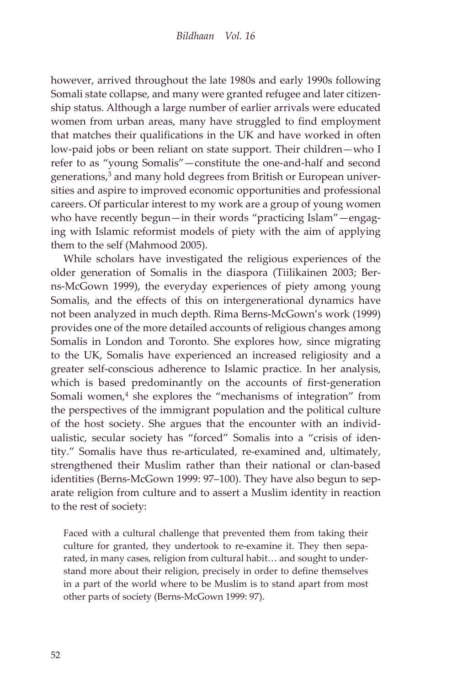however, arrived throughout the late 1980s and early 1990s following Somali state collapse, and many were granted refugee and later citizenship status. Although a large number of earlier arrivals were educated women from urban areas, many have struggled to find employment that matches their qualifications in the UK and have worked in often low-paid jobs or been reliant on state support. Their children—who I refer to as "young Somalis"—constitute the one-and-half and second generations,<sup>3</sup> and many hold degrees from British or European universities and aspire to improved economic opportunities and professional careers. Of particular interest to my work are a group of young women who have recently begun—in their words "practicing Islam"—engaging with Islamic reformist models of piety with the aim of applying them to the self (Mahmood 2005).

While scholars have investigated the religious experiences of the older generation of Somalis in the diaspora (Tiilikainen 2003; Berns-McGown 1999), the everyday experiences of piety among young Somalis, and the effects of this on intergenerational dynamics have not been analyzed in much depth. Rima Berns-McGown's work (1999) provides one of the more detailed accounts of religious changes among Somalis in London and Toronto. She explores how, since migrating to the UK, Somalis have experienced an increased religiosity and a greater self-conscious adherence to Islamic practice. In her analysis, which is based predominantly on the accounts of first-generation Somali women,<sup>4</sup> she explores the "mechanisms of integration" from the perspectives of the immigrant population and the political culture of the host society. She argues that the encounter with an individualistic, secular society has "forced" Somalis into a "crisis of identity." Somalis have thus re-articulated, re-examined and, ultimately, strengthened their Muslim rather than their national or clan-based identities (Berns-McGown 1999: 97–100). They have also begun to separate religion from culture and to assert a Muslim identity in reaction to the rest of society:

Faced with a cultural challenge that prevented them from taking their culture for granted, they undertook to re-examine it. They then separated, in many cases, religion from cultural habit… and sought to understand more about their religion, precisely in order to define themselves in a part of the world where to be Muslim is to stand apart from most other parts of society (Berns-McGown 1999: 97).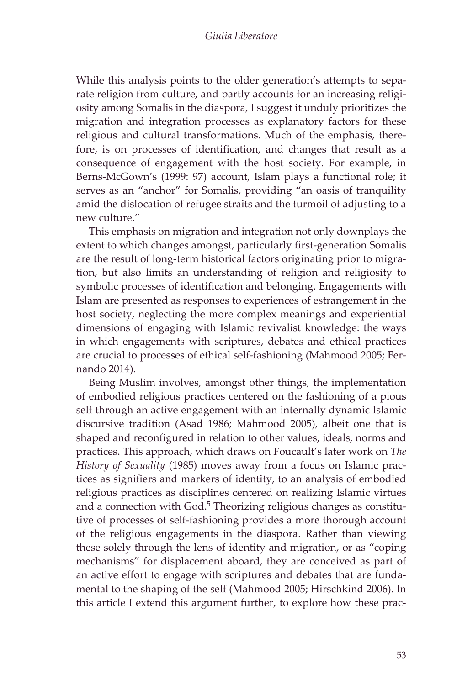While this analysis points to the older generation's attempts to separate religion from culture, and partly accounts for an increasing religiosity among Somalis in the diaspora, I suggest it unduly prioritizes the migration and integration processes as explanatory factors for these religious and cultural transformations. Much of the emphasis, therefore, is on processes of identification, and changes that result as a consequence of engagement with the host society. For example, in Berns-McGown's (1999: 97) account, Islam plays a functional role; it serves as an "anchor" for Somalis, providing "an oasis of tranquility amid the dislocation of refugee straits and the turmoil of adjusting to a new culture."

This emphasis on migration and integration not only downplays the extent to which changes amongst, particularly first-generation Somalis are the result of long-term historical factors originating prior to migration, but also limits an understanding of religion and religiosity to symbolic processes of identification and belonging. Engagements with Islam are presented as responses to experiences of estrangement in the host society, neglecting the more complex meanings and experiential dimensions of engaging with Islamic revivalist knowledge: the ways in which engagements with scriptures, debates and ethical practices are crucial to processes of ethical self-fashioning (Mahmood 2005; Fernando 2014).

Being Muslim involves, amongst other things, the implementation of embodied religious practices centered on the fashioning of a pious self through an active engagement with an internally dynamic Islamic discursive tradition (Asad 1986; Mahmood 2005), albeit one that is shaped and reconfigured in relation to other values, ideals, norms and practices. This approach, which draws on Foucault's later work on *The History of Sexuality* (1985) moves away from a focus on Islamic practices as signifiers and markers of identity, to an analysis of embodied religious practices as disciplines centered on realizing Islamic virtues and a connection with God.<sup>5</sup> Theorizing religious changes as constitutive of processes of self-fashioning provides a more thorough account of the religious engagements in the diaspora. Rather than viewing these solely through the lens of identity and migration, or as "coping mechanisms" for displacement aboard, they are conceived as part of an active effort to engage with scriptures and debates that are fundamental to the shaping of the self (Mahmood 2005; Hirschkind 2006). In this article I extend this argument further, to explore how these prac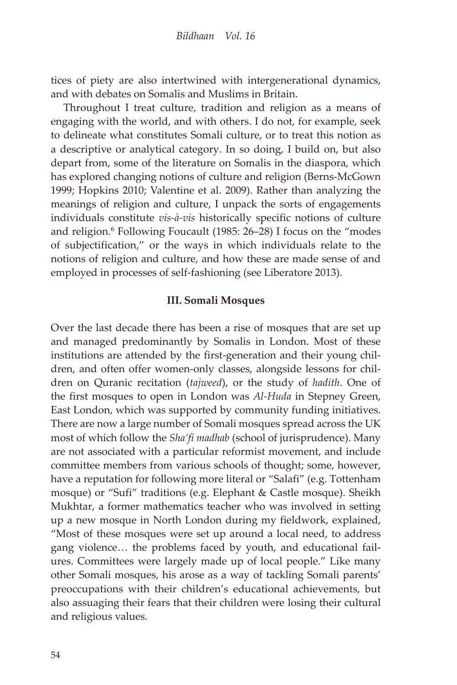tices of piety are also intertwined with intergenerational dynamics, and with debates on Somalis and Muslims in Britain.

Throughout I treat culture, tradition and religion as a means of engaging with the world, and with others. I do not, for example, seek to delineate what constitutes Somali culture, or to treat this notion as a descriptive or analytical category. In so doing, I build on, but also depart from, some of the literature on Somalis in the diaspora, which has explored changing notions of culture and religion (Berns-McGown 1999; Hopkins 2010; Valentine et al. 2009). Rather than analyzing the meanings of religion and culture, I unpack the sorts of engagements individuals constitute *vis-à-vis* historically specific notions of culture and religion.<sup>6</sup> Following Foucault (1985: 26-28) I focus on the "modes of subjectification," or the ways in which individuals relate to the notions of religion and culture, and how these are made sense of and employed in processes of self-fashioning (see Liberatore 2013).

#### **III. Somali Mosques**

Over the last decade there has been a rise of mosques that are set up and managed predominantly by Somalis in London. Most of these institutions are attended by the first-generation and their young children, and often offer women-only classes, alongside lessons for children on Quranic recitation (*tajweed*), or the study of *hadith*. One of the first mosques to open in London was *Al-Huda* in Stepney Green, East London, which was supported by community funding initiatives. There are now a large number of Somali mosques spread across the UK most of which follow the *Sha'fi madhab* (school of jurisprudence). Many are not associated with a particular reformist movement, and include committee members from various schools of thought; some, however, have a reputation for following more literal or "Salafi" (e.g. Tottenham mosque) or "Sufi" traditions (e.g. Elephant & Castle mosque). Sheikh Mukhtar, a former mathematics teacher who was involved in setting up a new mosque in North London during my fieldwork, explained, "Most of these mosques were set up around a local need, to address gang violence… the problems faced by youth, and educational failures. Committees were largely made up of local people." Like many other Somali mosques, his arose as a way of tackling Somali parents' preoccupations with their children's educational achievements, but also assuaging their fears that their children were losing their cultural and religious values.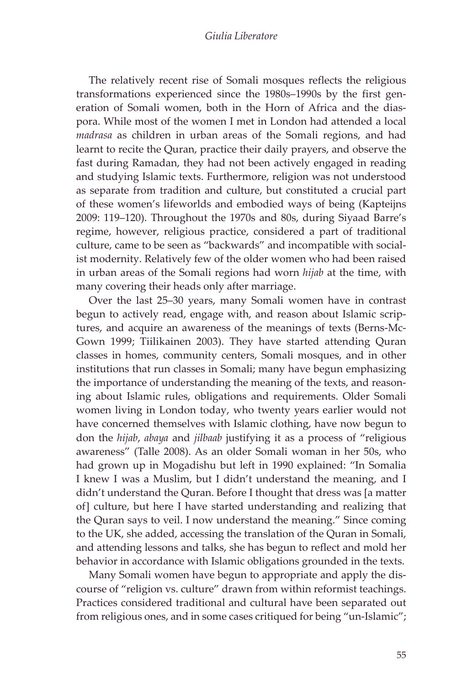The relatively recent rise of Somali mosques reflects the religious transformations experienced since the 1980s–1990s by the first generation of Somali women, both in the Horn of Africa and the diaspora. While most of the women I met in London had attended a local *madrasa* as children in urban areas of the Somali regions, and had learnt to recite the Quran, practice their daily prayers, and observe the fast during Ramadan, they had not been actively engaged in reading and studying Islamic texts. Furthermore, religion was not understood as separate from tradition and culture, but constituted a crucial part of these women's lifeworlds and embodied ways of being (Kapteijns 2009: 119–120). Throughout the 1970s and 80s, during Siyaad Barre's regime, however, religious practice, considered a part of traditional culture, came to be seen as "backwards" and incompatible with socialist modernity. Relatively few of the older women who had been raised in urban areas of the Somali regions had worn *hijab* at the time, with many covering their heads only after marriage.

Over the last 25–30 years, many Somali women have in contrast begun to actively read, engage with, and reason about Islamic scriptures, and acquire an awareness of the meanings of texts (Berns-Mc-Gown 1999; Tiilikainen 2003). They have started attending Quran classes in homes, community centers, Somali mosques, and in other institutions that run classes in Somali; many have begun emphasizing the importance of understanding the meaning of the texts, and reasoning about Islamic rules, obligations and requirements. Older Somali women living in London today, who twenty years earlier would not have concerned themselves with Islamic clothing, have now begun to don the *hijab*, *abaya* and *jilbaab* justifying it as a process of "religious awareness" (Talle 2008). As an older Somali woman in her 50s, who had grown up in Mogadishu but left in 1990 explained: "In Somalia I knew I was a Muslim, but I didn't understand the meaning, and I didn't understand the Quran. Before I thought that dress was [a matter of] culture, but here I have started understanding and realizing that the Quran says to veil. I now understand the meaning." Since coming to the UK, she added, accessing the translation of the Quran in Somali, and attending lessons and talks, she has begun to reflect and mold her behavior in accordance with Islamic obligations grounded in the texts.

Many Somali women have begun to appropriate and apply the discourse of "religion vs. culture" drawn from within reformist teachings. Practices considered traditional and cultural have been separated out from religious ones, and in some cases critiqued for being "un-Islamic";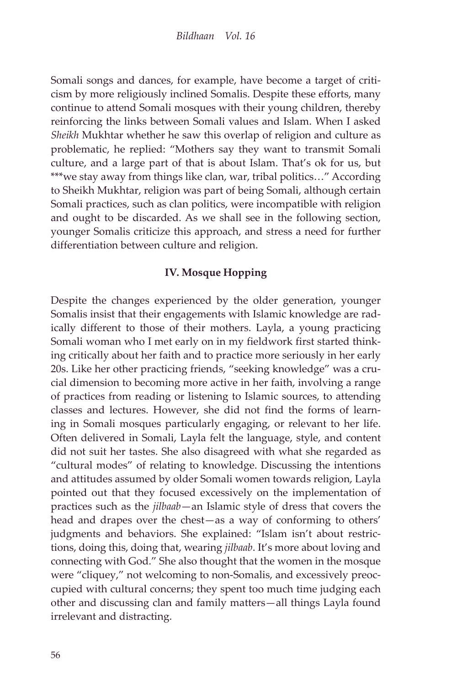Somali songs and dances, for example, have become a target of criticism by more religiously inclined Somalis. Despite these efforts, many continue to attend Somali mosques with their young children, thereby reinforcing the links between Somali values and Islam. When I asked *Sheikh* Mukhtar whether he saw this overlap of religion and culture as problematic, he replied: "Mothers say they want to transmit Somali culture, and a large part of that is about Islam. That's ok for us, but \*\*\*we stay away from things like clan, war, tribal politics…" According to Sheikh Mukhtar, religion was part of being Somali, although certain Somali practices, such as clan politics, were incompatible with religion and ought to be discarded. As we shall see in the following section, younger Somalis criticize this approach, and stress a need for further differentiation between culture and religion.

#### **IV. Mosque Hopping**

Despite the changes experienced by the older generation, younger Somalis insist that their engagements with Islamic knowledge are radically different to those of their mothers. Layla, a young practicing Somali woman who I met early on in my fieldwork first started thinking critically about her faith and to practice more seriously in her early 20s. Like her other practicing friends, "seeking knowledge" was a crucial dimension to becoming more active in her faith, involving a range of practices from reading or listening to Islamic sources, to attending classes and lectures. However, she did not find the forms of learning in Somali mosques particularly engaging, or relevant to her life. Often delivered in Somali, Layla felt the language, style, and content did not suit her tastes. She also disagreed with what she regarded as "cultural modes" of relating to knowledge. Discussing the intentions and attitudes assumed by older Somali women towards religion, Layla pointed out that they focused excessively on the implementation of practices such as the *jilbaab*—an Islamic style of dress that covers the head and drapes over the chest—as a way of conforming to others' judgments and behaviors. She explained: "Islam isn't about restrictions, doing this, doing that, wearing *jilbaab*. It's more about loving and connecting with God." She also thought that the women in the mosque were "cliquey," not welcoming to non-Somalis, and excessively preoccupied with cultural concerns; they spent too much time judging each other and discussing clan and family matters—all things Layla found irrelevant and distracting.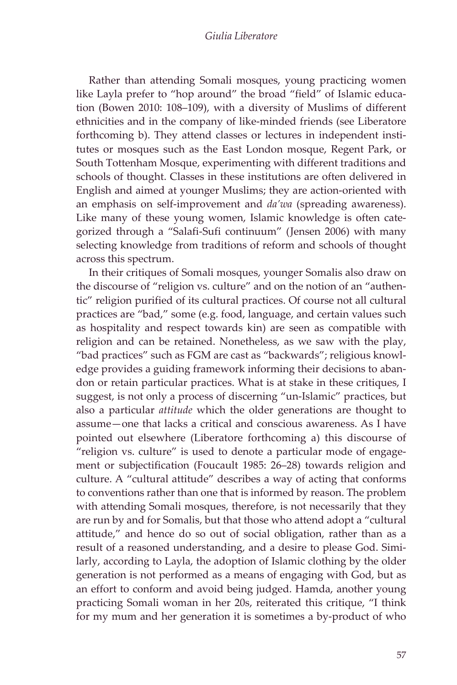Rather than attending Somali mosques, young practicing women like Layla prefer to "hop around" the broad "field" of Islamic education (Bowen 2010: 108–109), with a diversity of Muslims of different ethnicities and in the company of like-minded friends (see Liberatore forthcoming b). They attend classes or lectures in independent institutes or mosques such as the East London mosque, Regent Park, or South Tottenham Mosque, experimenting with different traditions and schools of thought. Classes in these institutions are often delivered in English and aimed at younger Muslims; they are action-oriented with an emphasis on self-improvement and *da'wa* (spreading awareness). Like many of these young women, Islamic knowledge is often categorized through a "Salafi-Sufi continuum" (Jensen 2006) with many selecting knowledge from traditions of reform and schools of thought across this spectrum.

In their critiques of Somali mosques, younger Somalis also draw on the discourse of "religion vs. culture" and on the notion of an "authentic" religion purified of its cultural practices. Of course not all cultural practices are "bad," some (e.g. food, language, and certain values such as hospitality and respect towards kin) are seen as compatible with religion and can be retained. Nonetheless, as we saw with the play, "bad practices" such as FGM are cast as "backwards"; religious knowledge provides a guiding framework informing their decisions to abandon or retain particular practices. What is at stake in these critiques, I suggest, is not only a process of discerning "un-Islamic" practices, but also a particular *attitude* which the older generations are thought to assume—one that lacks a critical and conscious awareness. As I have pointed out elsewhere (Liberatore forthcoming a) this discourse of "religion vs. culture" is used to denote a particular mode of engagement or subjectification (Foucault 1985: 26–28) towards religion and culture. A "cultural attitude" describes a way of acting that conforms to conventions rather than one that is informed by reason. The problem with attending Somali mosques, therefore, is not necessarily that they are run by and for Somalis, but that those who attend adopt a "cultural attitude," and hence do so out of social obligation, rather than as a result of a reasoned understanding, and a desire to please God. Similarly, according to Layla, the adoption of Islamic clothing by the older generation is not performed as a means of engaging with God, but as an effort to conform and avoid being judged. Hamda, another young practicing Somali woman in her 20s, reiterated this critique, "I think for my mum and her generation it is sometimes a by-product of who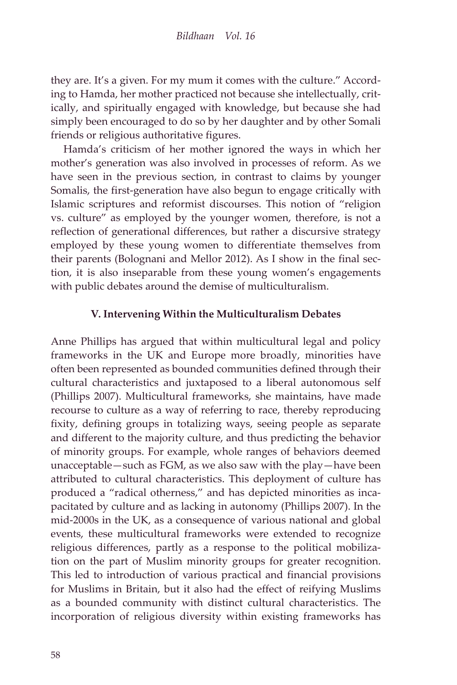they are. It's a given. For my mum it comes with the culture." According to Hamda, her mother practiced not because she intellectually, critically, and spiritually engaged with knowledge, but because she had simply been encouraged to do so by her daughter and by other Somali friends or religious authoritative figures.

Hamda's criticism of her mother ignored the ways in which her mother's generation was also involved in processes of reform. As we have seen in the previous section, in contrast to claims by younger Somalis, the first-generation have also begun to engage critically with Islamic scriptures and reformist discourses. This notion of "religion vs. culture" as employed by the younger women, therefore, is not a reflection of generational differences, but rather a discursive strategy employed by these young women to differentiate themselves from their parents (Bolognani and Mellor 2012). As I show in the final section, it is also inseparable from these young women's engagements with public debates around the demise of multiculturalism.

#### **V. Intervening Within the Multiculturalism Debates**

Anne Phillips has argued that within multicultural legal and policy frameworks in the UK and Europe more broadly, minorities have often been represented as bounded communities defined through their cultural characteristics and juxtaposed to a liberal autonomous self (Phillips 2007). Multicultural frameworks, she maintains, have made recourse to culture as a way of referring to race, thereby reproducing fixity, defining groups in totalizing ways, seeing people as separate and different to the majority culture, and thus predicting the behavior of minority groups. For example, whole ranges of behaviors deemed unacceptable—such as FGM, as we also saw with the play—have been attributed to cultural characteristics. This deployment of culture has produced a "radical otherness," and has depicted minorities as incapacitated by culture and as lacking in autonomy (Phillips 2007). In the mid-2000s in the UK, as a consequence of various national and global events, these multicultural frameworks were extended to recognize religious differences, partly as a response to the political mobilization on the part of Muslim minority groups for greater recognition. This led to introduction of various practical and financial provisions for Muslims in Britain, but it also had the effect of reifying Muslims as a bounded community with distinct cultural characteristics. The incorporation of religious diversity within existing frameworks has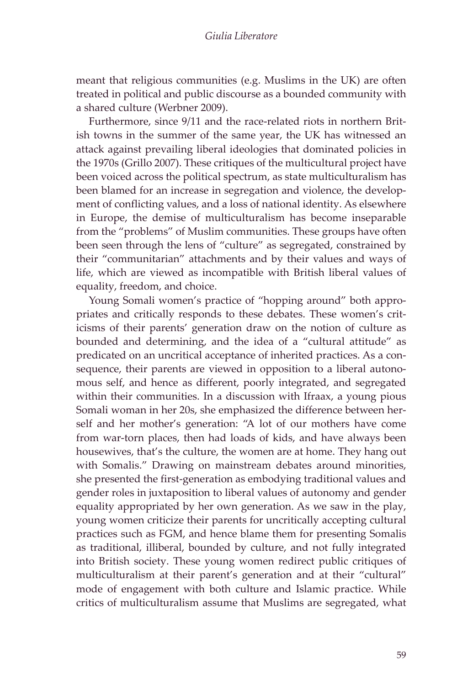meant that religious communities (e.g. Muslims in the UK) are often treated in political and public discourse as a bounded community with a shared culture (Werbner 2009).

Furthermore, since 9/11 and the race-related riots in northern British towns in the summer of the same year, the UK has witnessed an attack against prevailing liberal ideologies that dominated policies in the 1970s (Grillo 2007). These critiques of the multicultural project have been voiced across the political spectrum, as state multiculturalism has been blamed for an increase in segregation and violence, the development of conflicting values, and a loss of national identity. As elsewhere in Europe, the demise of multiculturalism has become inseparable from the "problems" of Muslim communities. These groups have often been seen through the lens of "culture" as segregated, constrained by their "communitarian" attachments and by their values and ways of life, which are viewed as incompatible with British liberal values of equality, freedom, and choice.

Young Somali women's practice of "hopping around" both appropriates and critically responds to these debates. These women's criticisms of their parents' generation draw on the notion of culture as bounded and determining, and the idea of a "cultural attitude" as predicated on an uncritical acceptance of inherited practices. As a consequence, their parents are viewed in opposition to a liberal autonomous self, and hence as different, poorly integrated, and segregated within their communities. In a discussion with Ifraax, a young pious Somali woman in her 20s, she emphasized the difference between herself and her mother's generation: "A lot of our mothers have come from war-torn places, then had loads of kids, and have always been housewives, that's the culture, the women are at home. They hang out with Somalis." Drawing on mainstream debates around minorities, she presented the first-generation as embodying traditional values and gender roles in juxtaposition to liberal values of autonomy and gender equality appropriated by her own generation. As we saw in the play, young women criticize their parents for uncritically accepting cultural practices such as FGM, and hence blame them for presenting Somalis as traditional, illiberal, bounded by culture, and not fully integrated into British society. These young women redirect public critiques of multiculturalism at their parent's generation and at their "cultural" mode of engagement with both culture and Islamic practice. While critics of multiculturalism assume that Muslims are segregated, what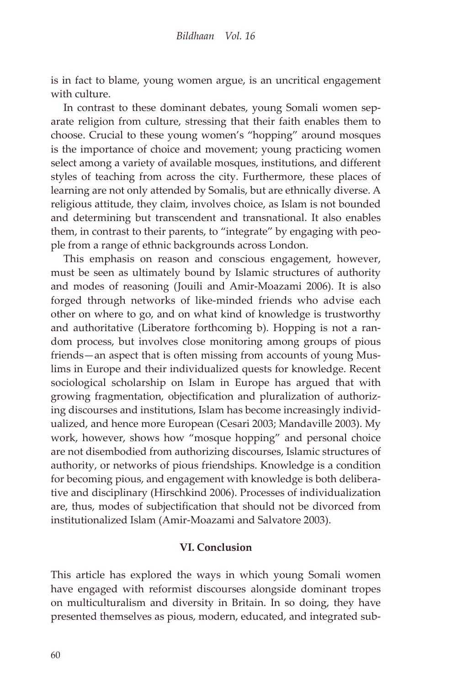is in fact to blame, young women argue, is an uncritical engagement with culture.

In contrast to these dominant debates, young Somali women separate religion from culture, stressing that their faith enables them to choose. Crucial to these young women's "hopping" around mosques is the importance of choice and movement; young practicing women select among a variety of available mosques, institutions, and different styles of teaching from across the city. Furthermore, these places of learning are not only attended by Somalis, but are ethnically diverse. A religious attitude, they claim, involves choice, as Islam is not bounded and determining but transcendent and transnational. It also enables them, in contrast to their parents, to "integrate" by engaging with people from a range of ethnic backgrounds across London.

This emphasis on reason and conscious engagement, however, must be seen as ultimately bound by Islamic structures of authority and modes of reasoning (Jouili and Amir-Moazami 2006). It is also forged through networks of like-minded friends who advise each other on where to go, and on what kind of knowledge is trustworthy and authoritative (Liberatore forthcoming b). Hopping is not a random process, but involves close monitoring among groups of pious friends—an aspect that is often missing from accounts of young Muslims in Europe and their individualized quests for knowledge. Recent sociological scholarship on Islam in Europe has argued that with growing fragmentation, objectification and pluralization of authorizing discourses and institutions, Islam has become increasingly individualized, and hence more European (Cesari 2003; Mandaville 2003). My work, however, shows how "mosque hopping" and personal choice are not disembodied from authorizing discourses, Islamic structures of authority, or networks of pious friendships. Knowledge is a condition for becoming pious, and engagement with knowledge is both deliberative and disciplinary (Hirschkind 2006). Processes of individualization are, thus, modes of subjectification that should not be divorced from institutionalized Islam (Amir-Moazami and Salvatore 2003).

#### **VI. Conclusion**

This article has explored the ways in which young Somali women have engaged with reformist discourses alongside dominant tropes on multiculturalism and diversity in Britain. In so doing, they have presented themselves as pious, modern, educated, and integrated sub-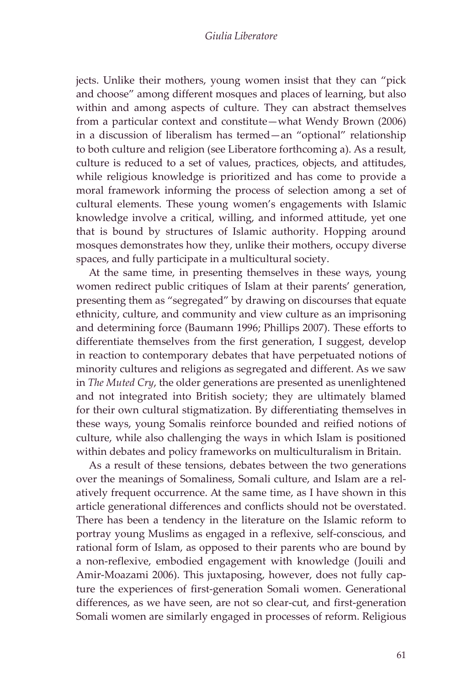jects. Unlike their mothers, young women insist that they can "pick and choose" among different mosques and places of learning, but also within and among aspects of culture. They can abstract themselves from a particular context and constitute—what Wendy Brown (2006) in a discussion of liberalism has termed—an "optional" relationship to both culture and religion (see Liberatore forthcoming a). As a result, culture is reduced to a set of values, practices, objects, and attitudes, while religious knowledge is prioritized and has come to provide a moral framework informing the process of selection among a set of cultural elements. These young women's engagements with Islamic knowledge involve a critical, willing, and informed attitude, yet one that is bound by structures of Islamic authority. Hopping around mosques demonstrates how they, unlike their mothers, occupy diverse spaces, and fully participate in a multicultural society.

At the same time, in presenting themselves in these ways, young women redirect public critiques of Islam at their parents' generation, presenting them as "segregated" by drawing on discourses that equate ethnicity, culture, and community and view culture as an imprisoning and determining force (Baumann 1996; Phillips 2007). These efforts to differentiate themselves from the first generation, I suggest, develop in reaction to contemporary debates that have perpetuated notions of minority cultures and religions as segregated and different. As we saw in *The Muted Cry*, the older generations are presented as unenlightened and not integrated into British society; they are ultimately blamed for their own cultural stigmatization. By differentiating themselves in these ways, young Somalis reinforce bounded and reified notions of culture, while also challenging the ways in which Islam is positioned within debates and policy frameworks on multiculturalism in Britain.

As a result of these tensions, debates between the two generations over the meanings of Somaliness, Somali culture, and Islam are a relatively frequent occurrence. At the same time, as I have shown in this article generational differences and conflicts should not be overstated. There has been a tendency in the literature on the Islamic reform to portray young Muslims as engaged in a reflexive, self-conscious, and rational form of Islam, as opposed to their parents who are bound by a non-reflexive, embodied engagement with knowledge (Jouili and Amir-Moazami 2006). This juxtaposing, however, does not fully capture the experiences of first-generation Somali women. Generational differences, as we have seen, are not so clear-cut, and first-generation Somali women are similarly engaged in processes of reform. Religious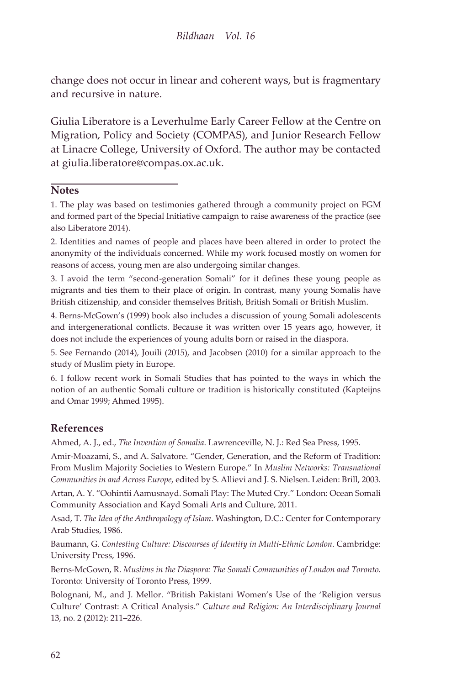change does not occur in linear and coherent ways, but is fragmentary and recursive in nature.

Giulia Liberatore is a Leverhulme Early Career Fellow at the Centre on Migration, Policy and Society (COMPAS), and Junior Research Fellow at Linacre College, University of Oxford. The author may be contacted at giulia.liberatore@compas.ox.ac.uk.

#### **Notes**

2. Identities and names of people and places have been altered in order to protect the anonymity of the individuals concerned. While my work focused mostly on women for reasons of access, young men are also undergoing similar changes.

3. I avoid the term "second-generation Somali" for it defines these young people as migrants and ties them to their place of origin. In contrast, many young Somalis have British citizenship, and consider themselves British, British Somali or British Muslim.

4. Berns-McGown's (1999) book also includes a discussion of young Somali adolescents and intergenerational conflicts. Because it was written over 15 years ago, however, it does not include the experiences of young adults born or raised in the diaspora.

5. See Fernando (2014), Jouili (2015), and Jacobsen (2010) for a similar approach to the study of Muslim piety in Europe.

6. I follow recent work in Somali Studies that has pointed to the ways in which the notion of an authentic Somali culture or tradition is historically constituted (Kapteijns and Omar 1999; Ahmed 1995).

#### **References**

Ahmed, A. J., ed., *The Invention of Somalia*. Lawrenceville, N. J.: Red Sea Press, 1995.

Amir-Moazami, S., and A. Salvatore. "Gender, Generation, and the Reform of Tradition: From Muslim Majority Societies to Western Europe." In *Muslim Networks: Transnational Communities in and Across Europe*, edited by S. Allievi and J. S. Nielsen. Leiden: Brill, 2003.

Artan, A. Y. "Oohintii Aamusnayd. Somali Play: The Muted Cry." London: Ocean Somali Community Association and Kayd Somali Arts and Culture, 2011.

Asad, T. *The Idea of the Anthropology of Islam*. Washington, D.C.: Center for Contemporary Arab Studies, 1986.

Baumann, G. *Contesting Culture: Discourses of Identity in Multi-Ethnic London*. Cambridge: University Press, 1996.

Berns-McGown, R. *Muslims in the Diaspora: The Somali Communities of London and Toronto*. Toronto: University of Toronto Press, 1999.

Bolognani, M., and J. Mellor. "British Pakistani Women's Use of the 'Religion versus Culture' Contrast: A Critical Analysis." *Culture and Religion: An Interdisciplinary Journal* 13, no. 2 (2012): 211–226.

<sup>1.</sup> The play was based on testimonies gathered through a community project on FGM and formed part of the Special Initiative campaign to raise awareness of the practice (see also Liberatore 2014).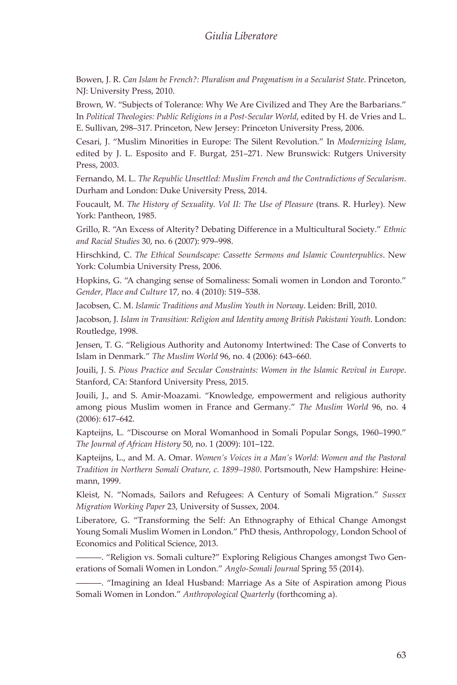Bowen, J. R. *Can Islam be French?: Pluralism and Pragmatism in a Secularist State*. Princeton, NJ: University Press, 2010.

Brown, W. "Subjects of Tolerance: Why We Are Civilized and They Are the Barbarians." In *Political Theologies: Public Religions in a Post-Secular World*, edited by H. de Vries and L. E. Sullivan, 298–317. Princeton, New Jersey: Princeton University Press, 2006.

Cesari, J. "Muslim Minorities in Europe: The Silent Revolution." In *Modernizing Islam*, edited by J. L. Esposito and F. Burgat, 251–271. New Brunswick: Rutgers University Press, 2003.

Fernando, M. L. *The Republic Unsettled: Muslim French and the Contradictions of Secularism*. Durham and London: Duke University Press, 2014.

Foucault, M. *The History of Sexuality. Vol II: The Use of Pleasure* (trans. R. Hurley). New York: Pantheon, 1985.

Grillo, R. "An Excess of Alterity? Debating Difference in a Multicultural Society." *Ethnic and Racial Studies* 30, no. 6 (2007): 979–998.

Hirschkind, C. *The Ethical Soundscape: Cassette Sermons and Islamic Counterpublics*. New York: Columbia University Press, 2006.

Hopkins, G. "A changing sense of Somaliness: Somali women in London and Toronto." *Gender, Place and Culture* 17, no. 4 (2010): 519–538.

Jacobsen, C. M. *Islamic Traditions and Muslim Youth in Norway*. Leiden: Brill, 2010.

Jacobson, J. *Islam in Transition: Religion and Identity among British Pakistani Youth*. London: Routledge, 1998.

Jensen, T. G. "Religious Authority and Autonomy Intertwined: The Case of Converts to Islam in Denmark." *The Muslim World* 96, no. 4 (2006): 643–660.

Jouili, J. S. *Pious Practice and Secular Constraints: Women in the Islamic Revival in Europe*. Stanford, CA: Stanford University Press, 2015.

Jouili, J., and S. Amir-Moazami. "Knowledge, empowerment and religious authority among pious Muslim women in France and Germany." *The Muslim World* 96, no. 4 (2006): 617–642.

Kapteijns, L. "Discourse on Moral Womanhood in Somali Popular Songs, 1960–1990." *The Journal of African History* 50, no. 1 (2009): 101–122.

Kapteijns, L., and M. A. Omar. *Women's Voices in a Man's World: Women and the Pastoral Tradition in Northern Somali Orature, c. 1899–1980*. Portsmouth, New Hampshire: Heinemann, 1999.

Kleist, N. "Nomads, Sailors and Refugees: A Century of Somali Migration." *Sussex Migration Working Paper* 23, University of Sussex, 2004.

Liberatore, G. "Transforming the Self: An Ethnography of Ethical Change Amongst Young Somali Muslim Women in London." PhD thesis, Anthropology, London School of Economics and Political Science, 2013.

―――. "Religion vs. Somali culture?" Exploring Religious Changes amongst Two Generations of Somali Women in London." *Anglo-Somali Journal* Spring 55 (2014).

―――. "Imagining an Ideal Husband: Marriage As a Site of Aspiration among Pious Somali Women in London." *Anthropological Quarterly* (forthcoming a).